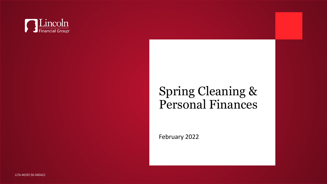

# Spring Cleaning & Personal Finances

February 2022

LCN-4658136-040422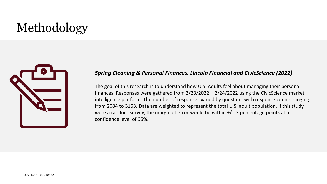# Methodology



#### *Spring Cleaning & Personal Finances, Lincoln Financial and CivicScience (2022)*

The goal of this research is to understand how U.S. Adults feel about managing their personal finances. Responses were gathered from 2/23/2022 – 2/24/2022 using the CivicScience market intelligence platform. The number of responses varied by question, with response counts ranging from 2084 to 3153. Data are weighted to represent the total U.S. adult population. If this study were a random survey, the margin of error would be within  $+/- 2$  percentage points at a confidence level of 95%.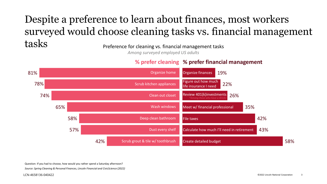#### Despite a preference to learn about finances, most workers surveyed would choose cleaning tasks vs. financial management  $\operatorname{tasks}$  Preference for cleaning vs. financial management tasks

*Among surveyed employed US adults*

#### **% prefer financial management % prefer cleaning**



Question: If you had to choose, how would you rather spend a Saturday afternoon?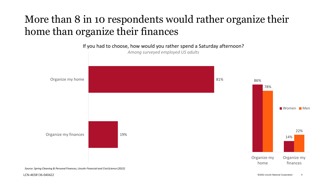#### More than 8 in 10 respondents would rather organize their home than organize their finances

19% 81% Organize my finances Organize my home If you had to choose, how would you rather spend a Saturday afternoon? *Among surveyed employed US adults* 86% 14% 78% 22% Organize my home Organize my finances Women Men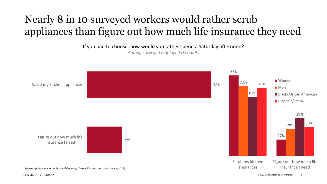## Nearly 8 in 10 surveyed workers would rather scrub appliances than figure out how much life insurance they need

22% 78% Figure out how much life insurance I need Scrub my kitchen appliances If you had to choose, how would you rather spend a Saturday afternoon? *Among surveyed employed US adults* 83% 17% 72% 28% 61% 39% 70% 30% Scrub my kitchen appliances Figure out how much life insurance I need ■ Women Men **Black/African American Hispanic/Latinx** *Source: Spring Cleaning & Personal Finances, Lincoln Financial and CivicScience (2022)*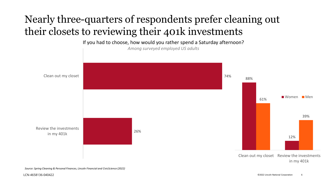#### Nearly three-quarters of respondents prefer cleaning out their closets to reviewing their 401k investments

26% 74% Review the investments in my 401k Clean out my closet If you had to choose, how would you rather spend a Saturday afternoon? *Among surveyed employed US adults* 88% 12% 61% 39% Clean out my closet Review the investments Women Men

*Source: Spring Cleaning & Personal Finances, Lincoln Financial and CivicScience (2022)*

in my 401k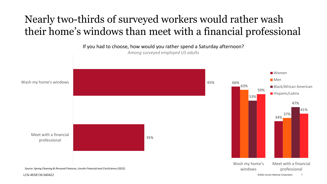### Nearly two-thirds of surveyed workers would rather wash their home's windows than meet with a financial professional

LCN-4658136-040422 ©2022 Lincoln National Corporation 7 35% 65% Meet with a financial professional Wash my home's windows If you had to choose, how would you rather spend a Saturday afternoon? *Among surveyed employed US adults* 66% 34% 63% 37% 53% 47% 59% 41% Wash my home's windows Meet with a financial professional **Women** Men **Black/African American** ■ Hispanic/Latinx *Source: Spring Cleaning & Personal Finances, Lincoln Financial and CivicScience (2022)*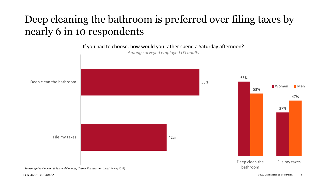#### Deep cleaning the bathroom is preferred over filing taxes by nearly 6 in 10 respondents

42% 58% File my taxes Deep clean the bathroom If you had to choose, how would you rather spend a Saturday afternoon? *Among surveyed employed US adults* 63% 37% 53% 47% Deep clean the bathroom File my taxes ■Women ■Men *Source: Spring Cleaning & Personal Finances, Lincoln Financial and CivicScience (2022)*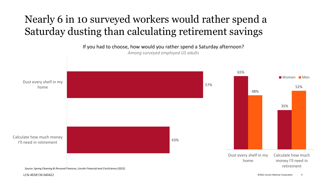### Nearly 6 in 10 surveyed workers would rather spend a Saturday dusting than calculating retirement savings

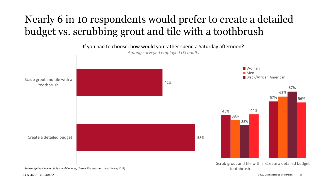## Nearly 6 in 10 respondents would prefer to create a detailed budget vs. scrubbing grout and tile with a toothbrush

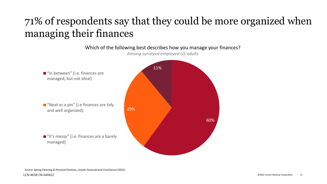### 71% of respondents say that they could be more organized when managing their finances

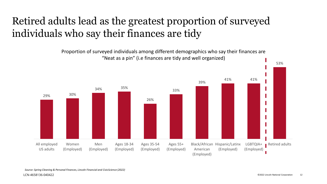### Retired adults lead as the greatest proportion of surveyed individuals who say their finances are tidy

Proportion of surveyed individuals among different demographics who say their finances are "Neat as a pin" (i.e finances are tidy and well organized)



53%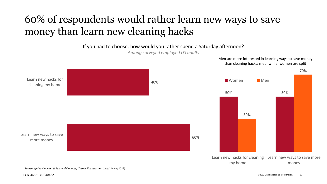#### 60% of respondents would rather learn new ways to save money than learn new cleaning hacks

60% 40% Learn new ways to save more money Learn new hacks for cleaning my home If you had to choose, how would you rather spend a Saturday afternoon? *Among surveyed employed US adults* 50% 50% 30% 70% Learn new hacks for cleaning Learn new ways to save more my home money **Momen** Men Men are more interested in learning ways to save money than cleaning hacks; meanwhile, women are split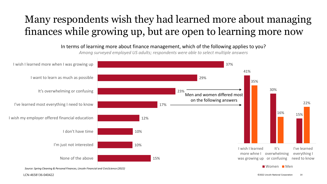### Many respondents wish they had learned more about managing finances while growing up, but are open to learning more now

15% 10% 10% 12% 17% 23% 29% 37% None of the above I'm just not interested I don't have time I wish my employer offered financial education I've learned most everything I need to know It's overwhelming or confusing I want to learn as much as possible I wish I learned more when I was growing up In terms of learning more about finance management, which of the following applies to you? *Among surveyed employed US adults; respondents were able to select multiple answers* 41% 30% 15% 35% 16% 22% I wish I learned more whne I overwhelming was growing up or confusing  $It's$ I've learned everything I need to know Women Men Men and women differed most on the following answers *Source: Spring Cleaning & Personal Finances, Lincoln Financial and CivicScience (2022)*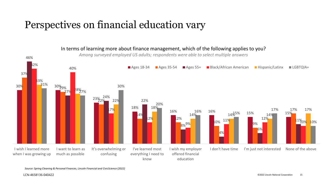#### Perspectives on financial education vary